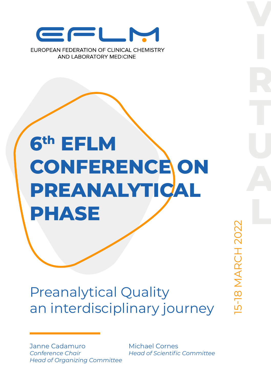

AND LARORATORY MEDICINE

# **6th EFLM CONFERENCE ON PREANALYTICAL PHASE**

# Preanalytical Quality an interdisciplinary journey

Janne Cadamuro *Conference Chair Head of Organizing Committee* Michael Cornes *Head of Scientific Committee* 15-18 MARCH 2022

5-18 MARCH 2022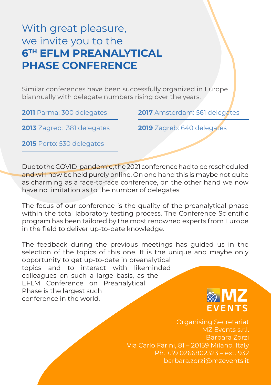## With great pleasure, we invite you to the **6TH EFLM PREANALYTICAL PHASE CONFERENCE**

Similar conferences have been successfully organized in Europe biannually with delegate numbers rising over the years:

**2011** Parma: 300 delegates **2017** Amsterdam: 561 delegates

**2013** Zagreb: 381 delegates **2019** Zagreb: 640 delegates

**2015** Porto: 530 delegates

Due to the COVID-pandemic, the 2021 conference had to be rescheduled and will now be held purely online. On one hand this is maybe not quite as charming as a face-to-face conference, on the other hand we now have no limitation as to the number of delegates.

The focus of our conference is the quality of the preanalytical phase within the total laboratory testing process. The Conference Scientific program has been tailored by the most renowned experts from Europe in the field to deliver up-to-date knowledge.

The feedback during the previous meetings has guided us in the selection of the topics of this one. It is the unique and maybe only opportunity to get up-to-date in preanalytical

topics and to interact with likeminded colleagues on such a large basis, as the EFLM Conference on Preanalytical Phase is the largest such conference in the world.

FVFNTS

Organising Secretariat MZ Events s.r.l. Barbara Zorzi Via Carlo Farini, 81 – 20159 Milano, Italy Ph. +39 0266802323 – ext. 932 barbara.zorzi@mzevents.it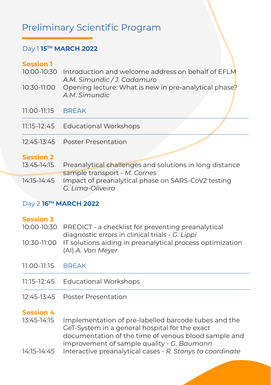## Preliminary Scientific Program

#### Day 1 **15TH MARCH 2022**

#### **Session 1**

- 10:00-10:30 Introduction and welcome address on behalf of EFLM *A.M. Simundic / J. Cadamuro*
- 10:30-11:00 Opening lecture: What is new in pre-analytical phase? *A.M. Simundic*
- 11:00-11:15 BREAK
- 11:15-12:45 Educational Workshops
- 12:45-13:45 Poster Presentation

#### **Session 2**

13:45-14:15 14:15-14:45 Preanalytical challenges and solutions in long distance sample transport - *M. Cornes* Impact of preanalytical phase on SARS-CoV2 testing *G. Lima-Oliveira*

#### Day 2 **16TH MARCH 2022**

| <b>Session 3</b>  |                                                                                                                                                                                                              |
|-------------------|--------------------------------------------------------------------------------------------------------------------------------------------------------------------------------------------------------------|
| 10:00-10:30       | PREDICT - a checklist for preventing preanalytical<br>diagnostic errors in clinical trials - G. Lippi                                                                                                        |
| 10:30-11:00       | IT solutions aiding in preanalytical process optimization<br>(AI) A. Von Meyer                                                                                                                               |
| 11:00-11:15 BREAK |                                                                                                                                                                                                              |
|                   | 11:15-12:45 Educational Workshops                                                                                                                                                                            |
|                   | 12:45-13:45 Poster Presentation                                                                                                                                                                              |
| <b>Session 4</b>  |                                                                                                                                                                                                              |
| 13:45-14:15       | Implementation of pre-labelled barcode tubes and the<br>GeT-System in a general hospital for the exact<br>documentation of the time of venous blood sample and<br>improvement of sample quality - G. Baumann |
| 14:15-14:45       | Interactive preanalytical cases - R. Stonys to coordinate                                                                                                                                                    |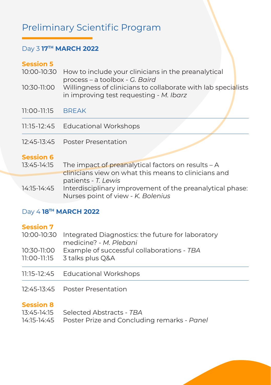## Preliminary Scientific Program

#### Day 3 **17TH MARCH 2022**

#### **Session 5**

|                   | 10:00-10:30 How to include your clinicians in the preanalytical                                          |  |
|-------------------|----------------------------------------------------------------------------------------------------------|--|
|                   | process - a toolbox - G. Baird                                                                           |  |
| 10:30-11:00       | Willingness of clinicians to collaborate with lab specialists<br>in improving test requesting - M. Ibarz |  |
| 11:00-11:15 BREAK |                                                                                                          |  |

- 11:15-12:45 Educational Workshops
- 12:45-13:45 Poster Presentation

#### **Session 6**

| 13:45-14:15 | The impact of preanalytical factors on results $-A$       |
|-------------|-----------------------------------------------------------|
|             | clinicians view on what this means to clinicians and      |
|             | patients - T. Lewis                                       |
| 14:15-14:45 | Interdisciplinary improvement of the preanalytical phase: |
|             | Nurses point of view - K. Bolenius                        |

#### Day 4 **18TH MARCH 2022**

#### **Session 7**

| 11:15-12:45 Educational Workshops                                                      |
|----------------------------------------------------------------------------------------|
| 10:30-11:00 Example of successful collaborations - TBA<br>11:00-11:15 3 talks plus Q&A |
| medicine? - M. Plebani                                                                 |
| 10:00-10:30 Integrated Diagnostics: the future for laboratory                          |
|                                                                                        |

12:45-13:45 Poster Presentation

#### **Session 8**

| 13:45-14:15 Selected Abstracts - TBA                    |
|---------------------------------------------------------|
| 14:15-14:45 Poster Prize and Concluding remarks - Panel |